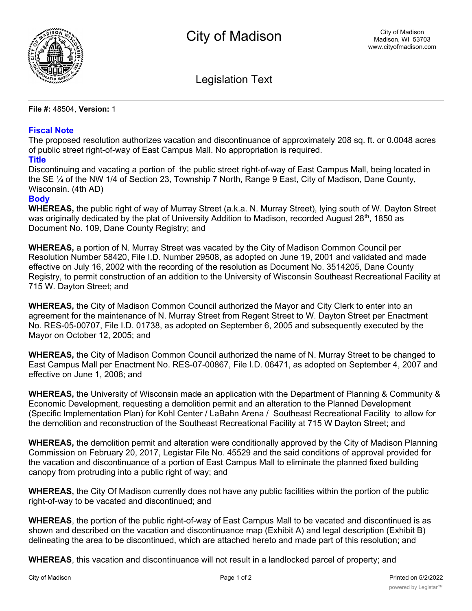

Legislation Text

**File #:** 48504, **Version:** 1

## **Fiscal Note**

The proposed resolution authorizes vacation and discontinuance of approximately 208 sq. ft. or 0.0048 acres of public street right-of-way of East Campus Mall. No appropriation is required.

## **Title**

Discontinuing and vacating a portion of the public street right-of-way of East Campus Mall, being located in the SE ¼ of the NW 1/4 of Section 23, Township 7 North, Range 9 East, City of Madison, Dane County, Wisconsin. (4th AD)

## **Body**

**WHEREAS,** the public right of way of Murray Street (a.k.a. N. Murray Street), lying south of W. Dayton Street was originally dedicated by the plat of University Addition to Madison, recorded August 28<sup>th</sup>, 1850 as Document No. 109, Dane County Registry; and

**WHEREAS,** a portion of N. Murray Street was vacated by the City of Madison Common Council per Resolution Number 58420, File I.D. Number 29508, as adopted on June 19, 2001 and validated and made effective on July 16, 2002 with the recording of the resolution as Document No. 3514205, Dane County Registry, to permit construction of an addition to the University of Wisconsin Southeast Recreational Facility at 715 W. Dayton Street; and

**WHEREAS,** the City of Madison Common Council authorized the Mayor and City Clerk to enter into an agreement for the maintenance of N. Murray Street from Regent Street to W. Dayton Street per Enactment No. RES-05-00707, File I.D. 01738, as adopted on September 6, 2005 and subsequently executed by the Mayor on October 12, 2005; and

**WHEREAS,** the City of Madison Common Council authorized the name of N. Murray Street to be changed to East Campus Mall per Enactment No. RES-07-00867, File I.D. 06471, as adopted on September 4, 2007 and effective on June 1, 2008; and

**WHEREAS,** the University of Wisconsin made an application with the Department of Planning & Community & Economic Development, requesting a demolition permit and an alteration to the Planned Development (Specific Implementation Plan) for Kohl Center / LaBahn Arena / Southeast Recreational Facility to allow for the demolition and reconstruction of the Southeast Recreational Facility at 715 W Dayton Street; and

**WHEREAS,** the demolition permit and alteration were conditionally approved by the City of Madison Planning Commission on February 20, 2017, Legistar File No. 45529 and the said conditions of approval provided for the vacation and discontinuance of a portion of East Campus Mall to eliminate the planned fixed building canopy from protruding into a public right of way; and

**WHEREAS,** the City Of Madison currently does not have any public facilities within the portion of the public right-of-way to be vacated and discontinued; and

**WHEREAS**, the portion of the public right-of-way of East Campus Mall to be vacated and discontinued is as shown and described on the vacation and discontinuance map (Exhibit A) and legal description (Exhibit B) delineating the area to be discontinued, which are attached hereto and made part of this resolution; and

**WHEREAS**, this vacation and discontinuance will not result in a landlocked parcel of property; and